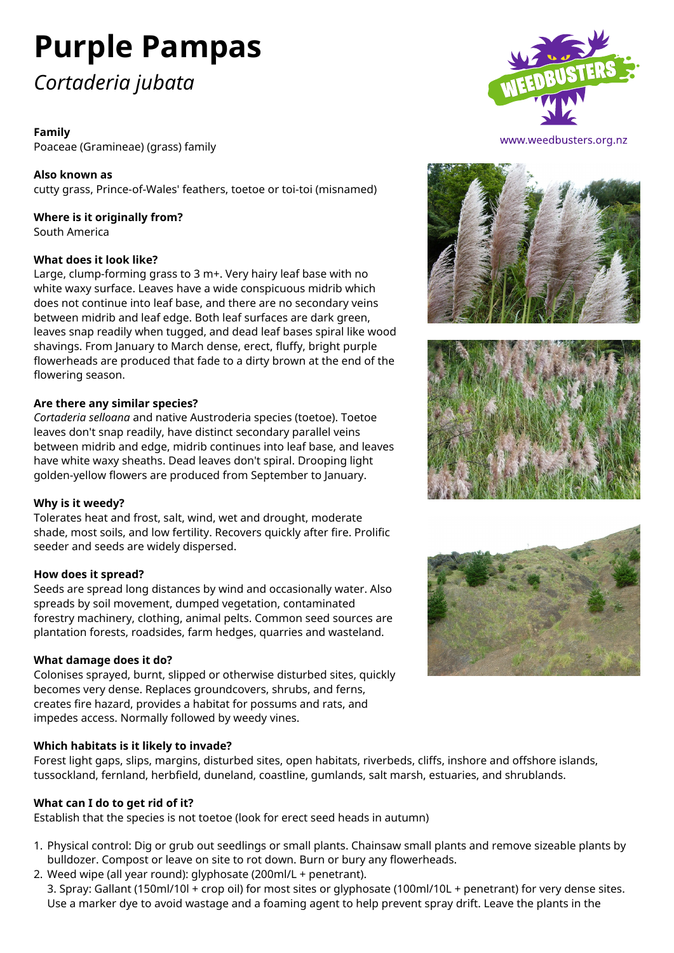# **Purple Pampas**

# *Cortaderia jubata*

# **Family**

Poaceae (Gramineae) (grass) family

**Also known as** cutty grass, Prince-of-Wales' feathers, toetoe or toi-toi (misnamed)

#### **Where is it originally from?** South America

# **What does it look like?**

Large, clump-forming grass to 3 m+. Very hairy leaf base with no white waxy surface. Leaves have a wide conspicuous midrib which does not continue into leaf base, and there are no secondary veins between midrib and leaf edge. Both leaf surfaces are dark green, leaves snap readily when tugged, and dead leaf bases spiral like wood shavings. From January to March dense, erect, fluffy, bright purple flowerheads are produced that fade to a dirty brown at the end of the flowering season.

#### **Are there any similar species?**

*Cortaderia selloana* and native Austroderia species (toetoe). Toetoe leaves don't snap readily, have distinct secondary parallel veins between midrib and edge, midrib continues into leaf base, and leaves have white waxy sheaths. Dead leaves don't spiral. Drooping light golden-yellow flowers are produced from September to January.

#### **Why is it weedy?**

Tolerates heat and frost, salt, wind, wet and drought, moderate shade, most soils, and low fertility. Recovers quickly after fire. Prolific seeder and seeds are widely dispersed.

#### **How does it spread?**

Seeds are spread long distances by wind and occasionally water. Also spreads by soil movement, dumped vegetation, contaminated forestry machinery, clothing, animal pelts. Common seed sources are plantation forests, roadsides, farm hedges, quarries and wasteland.

#### **What damage does it do?**

Colonises sprayed, burnt, slipped or otherwise disturbed sites, quickly becomes very dense. Replaces groundcovers, shrubs, and ferns, creates fire hazard, provides a habitat for possums and rats, and impedes access. Normally followed by weedy vines.

# **Which habitats is it likely to invade?**

Forest light gaps, slips, margins, disturbed sites, open habitats, riverbeds, cliffs, inshore and offshore islands, tussockland, fernland, herbfield, duneland, coastline, gumlands, salt marsh, estuaries, and shrublands.

# **What can I do to get rid of it?**

Establish that the species is not toetoe (look for erect seed heads in autumn)

- 1. Physical control: Dig or grub out seedlings or small plants. Chainsaw small plants and remove sizeable plants by bulldozer. Compost or leave on site to rot down. Burn or bury any flowerheads.
- 2. Weed wipe (all year round): glyphosate (200ml/L + penetrant). 3. Spray: Gallant (150ml/10l + crop oil) for most sites or glyphosate (100ml/10L + penetrant) for very dense sites. Use a marker dye to avoid wastage and a foaming agent to help prevent spray drift. Leave the plants in the



www.weedbusters.org.nz